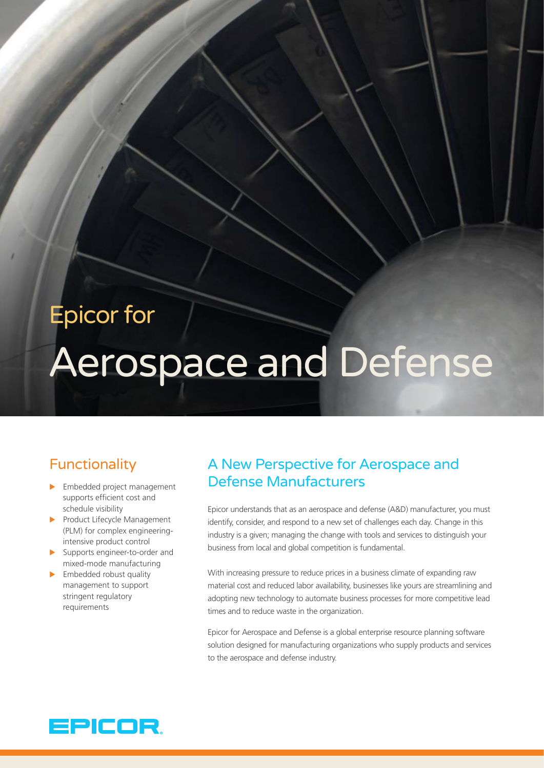# Epicor for

# Aerospace and Defense

# Functionality

- $\blacktriangleright$  Embedded project management supports efficient cost and schedule visibility
- $\blacktriangleright$  Product Lifecycle Management (PLM) for complex engineeringintensive product control
- $\blacktriangleright$  Supports engineer-to-order and mixed-mode manufacturing
- $\blacktriangleright$  Embedded robust quality management to support stringent regulatory requirements

# A New Perspective for Aerospace and Defense Manufacturers

Epicor understands that as an aerospace and defense (A&D) manufacturer, you must identify, consider, and respond to a new set of challenges each day. Change in this industry is a given; managing the change with tools and services to distinguish your business from local and global competition is fundamental.

With increasing pressure to reduce prices in a business climate of expanding raw material cost and reduced labor availability, businesses like yours are streamlining and adopting new technology to automate business processes for more competitive lead times and to reduce waste in the organization.

Epicor for Aerospace and Defense is a global enterprise resource planning software solution designed for manufacturing organizations who supply products and services to the aerospace and defense industry.

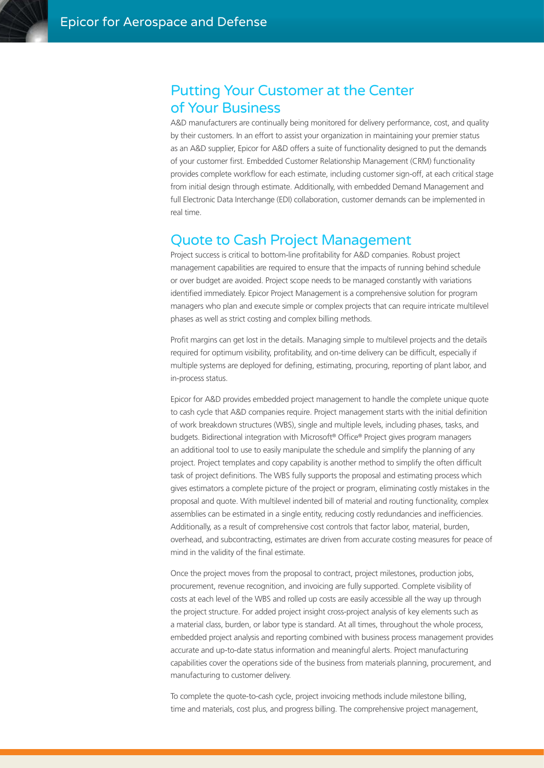#### Putting Your Customer at the Center of Your Business

A&D manufacturers are continually being monitored for delivery performance, cost, and quality by their customers. In an effort to assist your organization in maintaining your premier status as an A&D supplier, Epicor for A&D offers a suite of functionality designed to put the demands of your customer first. Embedded Customer Relationship Management (CRM) functionality provides complete workflow for each estimate, including customer sign-off, at each critical stage from initial design through estimate. Additionally, with embedded Demand Management and full Electronic Data Interchange (EDI) collaboration, customer demands can be implemented in real time.

#### Quote to Cash Project Management

Project success is critical to bottom-line profitability for A&D companies. Robust project management capabilities are required to ensure that the impacts of running behind schedule or over budget are avoided. Project scope needs to be managed constantly with variations identified immediately. Epicor Project Management is a comprehensive solution for program managers who plan and execute simple or complex projects that can require intricate multilevel phases as well as strict costing and complex billing methods.

Profit margins can get lost in the details. Managing simple to multilevel projects and the details required for optimum visibility, profitability, and on-time delivery can be difficult, especially if multiple systems are deployed for defining, estimating, procuring, reporting of plant labor, and in-process status.

Epicor for A&D provides embedded project management to handle the complete unique quote to cash cycle that A&D companies require. Project management starts with the initial definition of work breakdown structures (WBS), single and multiple levels, including phases, tasks, and budgets. Bidirectional integration with Microsoft® Office® Project gives program managers an additional tool to use to easily manipulate the schedule and simplify the planning of any project. Project templates and copy capability is another method to simplify the often difficult task of project definitions. The WBS fully supports the proposal and estimating process which gives estimators a complete picture of the project or program, eliminating costly mistakes in the proposal and quote. With multilevel indented bill of material and routing functionality, complex assemblies can be estimated in a single entity, reducing costly redundancies and inefficiencies. Additionally, as a result of comprehensive cost controls that factor labor, material, burden, overhead, and subcontracting, estimates are driven from accurate costing measures for peace of mind in the validity of the final estimate.

Once the project moves from the proposal to contract, project milestones, production jobs, procurement, revenue recognition, and invoicing are fully supported. Complete visibility of costs at each level of the WBS and rolled up costs are easily accessible all the way up through the project structure. For added project insight cross-project analysis of key elements such as a material class, burden, or labor type is standard. At all times, throughout the whole process, embedded project analysis and reporting combined with business process management provides accurate and up-to-date status information and meaningful alerts. Project manufacturing capabilities cover the operations side of the business from materials planning, procurement, and manufacturing to customer delivery.

To complete the quote-to-cash cycle, project invoicing methods include milestone billing, time and materials, cost plus, and progress billing. The comprehensive project management,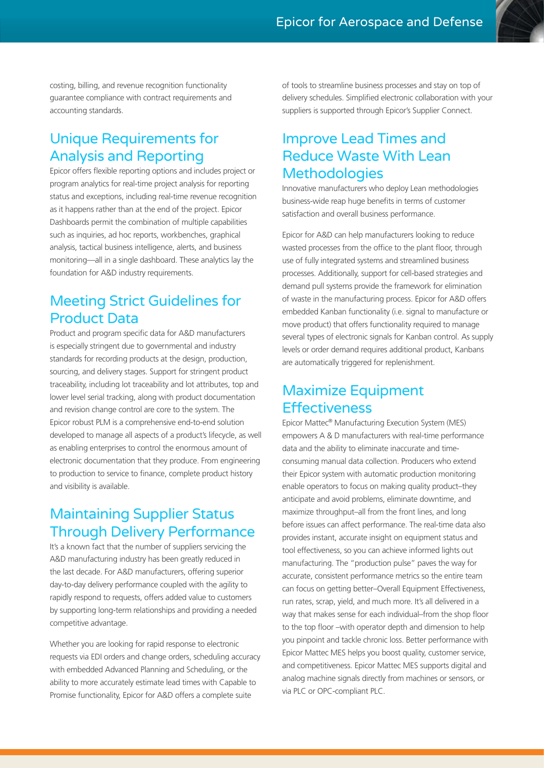costing, billing, and revenue recognition functionality guarantee compliance with contract requirements and accounting standards.

## Unique Requirements for Analysis and Reporting

Epicor offers flexible reporting options and includes project or program analytics for real-time project analysis for reporting status and exceptions, including real-time revenue recognition as it happens rather than at the end of the project. Epicor Dashboards permit the combination of multiple capabilities such as inquiries, ad hoc reports, workbenches, graphical analysis, tactical business intelligence, alerts, and business monitoring—all in a single dashboard. These analytics lay the foundation for A&D industry requirements.

## Meeting Strict Guidelines for Product Data

Product and program specific data for A&D manufacturers is especially stringent due to governmental and industry standards for recording products at the design, production, sourcing, and delivery stages. Support for stringent product traceability, including lot traceability and lot attributes, top and lower level serial tracking, along with product documentation and revision change control are core to the system. The Epicor robust PLM is a comprehensive end-to-end solution developed to manage all aspects of a product's lifecycle, as well as enabling enterprises to control the enormous amount of electronic documentation that they produce. From engineering to production to service to finance, complete product history and visibility is available.

# Maintaining Supplier Status Through Delivery Performance

It's a known fact that the number of suppliers servicing the A&D manufacturing industry has been greatly reduced in the last decade. For A&D manufacturers, offering superior day-to-day delivery performance coupled with the agility to rapidly respond to requests, offers added value to customers by supporting long-term relationships and providing a needed competitive advantage.

Whether you are looking for rapid response to electronic requests via EDI orders and change orders, scheduling accuracy with embedded Advanced Planning and Scheduling, or the ability to more accurately estimate lead times with Capable to Promise functionality, Epicor for A&D offers a complete suite

of tools to streamline business processes and stay on top of delivery schedules. Simplified electronic collaboration with your suppliers is supported through Epicor's Supplier Connect.

#### Improve Lead Times and Reduce Waste With Lean **Methodologies**

Innovative manufacturers who deploy Lean methodologies business-wide reap huge benefits in terms of customer satisfaction and overall business performance.

Epicor for A&D can help manufacturers looking to reduce wasted processes from the office to the plant floor, through use of fully integrated systems and streamlined business processes. Additionally, support for cell-based strategies and demand pull systems provide the framework for elimination of waste in the manufacturing process. Epicor for A&D offers embedded Kanban functionality (i.e. signal to manufacture or move product) that offers functionality required to manage several types of electronic signals for Kanban control. As supply levels or order demand requires additional product, Kanbans are automatically triggered for replenishment.

## Maximize Equipment **Effectiveness**

Epicor Mattec® Manufacturing Execution System (MES) empowers A & D manufacturers with real-time performance data and the ability to eliminate inaccurate and timeconsuming manual data collection. Producers who extend their Epicor system with automatic production monitoring enable operators to focus on making quality product–they anticipate and avoid problems, eliminate downtime, and maximize throughput–all from the front lines, and long before issues can affect performance. The real-time data also provides instant, accurate insight on equipment status and tool effectiveness, so you can achieve informed lights out manufacturing. The "production pulse" paves the way for accurate, consistent performance metrics so the entire team can focus on getting better–Overall Equipment Effectiveness, run rates, scrap, yield, and much more. It's all delivered in a way that makes sense for each individual–from the shop floor to the top floor –with operator depth and dimension to help you pinpoint and tackle chronic loss. Better performance with Epicor Mattec MES helps you boost quality, customer service, and competitiveness. Epicor Mattec MES supports digital and analog machine signals directly from machines or sensors, or via PLC or OPC-compliant PLC.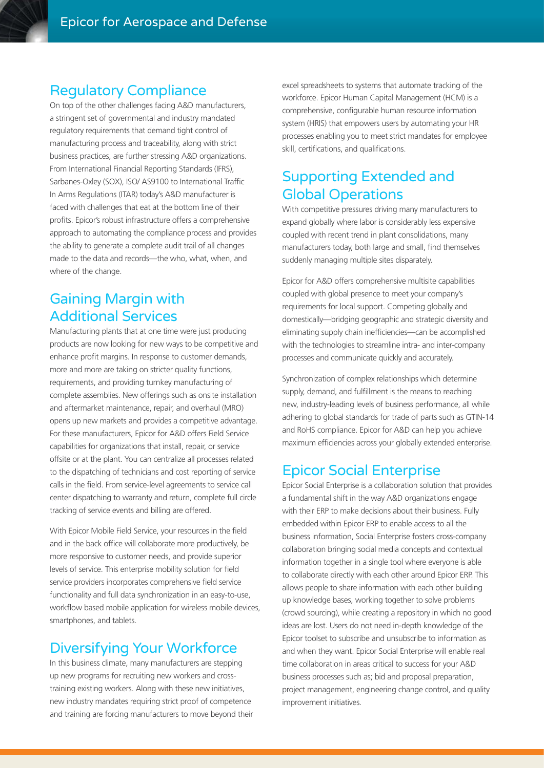#### Regulatory Compliance

On top of the other challenges facing A&D manufacturers, a stringent set of governmental and industry mandated regulatory requirements that demand tight control of manufacturing process and traceability, along with strict business practices, are further stressing A&D organizations. From International Financial Reporting Standards (IFRS), Sarbanes-Oxley (SOX), ISO/ AS9100 to International Traffic In Arms Regulations (ITAR) today's A&D manufacturer is faced with challenges that eat at the bottom line of their profits. Epicor's robust infrastructure offers a comprehensive approach to automating the compliance process and provides the ability to generate a complete audit trail of all changes made to the data and records—the who, what, when, and where of the change.

#### Gaining Margin with Additional Services

Manufacturing plants that at one time were just producing products are now looking for new ways to be competitive and enhance profit margins. In response to customer demands, more and more are taking on stricter quality functions, requirements, and providing turnkey manufacturing of complete assemblies. New offerings such as onsite installation and aftermarket maintenance, repair, and overhaul (MRO) opens up new markets and provides a competitive advantage. For these manufacturers, Epicor for A&D offers Field Service capabilities for organizations that install, repair, or service offsite or at the plant. You can centralize all processes related to the dispatching of technicians and cost reporting of service calls in the field. From service-level agreements to service call center dispatching to warranty and return, complete full circle tracking of service events and billing are offered.

With Epicor Mobile Field Service, your resources in the field and in the back office will collaborate more productively, be more responsive to customer needs, and provide superior levels of service. This enterprise mobility solution for field service providers incorporates comprehensive field service functionality and full data synchronization in an easy-to-use, workflow based mobile application for wireless mobile devices, smartphones, and tablets.

#### Diversifying Your Workforce

In this business climate, many manufacturers are stepping up new programs for recruiting new workers and crosstraining existing workers. Along with these new initiatives, new industry mandates requiring strict proof of competence and training are forcing manufacturers to move beyond their

excel spreadsheets to systems that automate tracking of the workforce. Epicor Human Capital Management (HCM) is a comprehensive, configurable human resource information system (HRIS) that empowers users by automating your HR processes enabling you to meet strict mandates for employee skill, certifications, and qualifications.

# Supporting Extended and Global Operations

With competitive pressures driving many manufacturers to expand globally where labor is considerably less expensive coupled with recent trend in plant consolidations, many manufacturers today, both large and small, find themselves suddenly managing multiple sites disparately.

Epicor for A&D offers comprehensive multisite capabilities coupled with global presence to meet your company's requirements for local support. Competing globally and domestically—bridging geographic and strategic diversity and eliminating supply chain inefficiencies—can be accomplished with the technologies to streamline intra- and inter-company processes and communicate quickly and accurately.

Synchronization of complex relationships which determine supply, demand, and fulfillment is the means to reaching new, industry-leading levels of business performance, all while adhering to global standards for trade of parts such as GTIN-14 and RoHS compliance. Epicor for A&D can help you achieve maximum efficiencies across your globally extended enterprise.

#### Epicor Social Enterprise

Epicor Social Enterprise is a collaboration solution that provides a fundamental shift in the way A&D organizations engage with their ERP to make decisions about their business. Fully embedded within Epicor ERP to enable access to all the business information, Social Enterprise fosters cross-company collaboration bringing social media concepts and contextual information together in a single tool where everyone is able to collaborate directly with each other around Epicor ERP. This allows people to share information with each other building up knowledge bases, working together to solve problems (crowd sourcing), while creating a repository in which no good ideas are lost. Users do not need in-depth knowledge of the Epicor toolset to subscribe and unsubscribe to information as and when they want. Epicor Social Enterprise will enable real time collaboration in areas critical to success for your A&D business processes such as; bid and proposal preparation, project management, engineering change control, and quality improvement initiatives.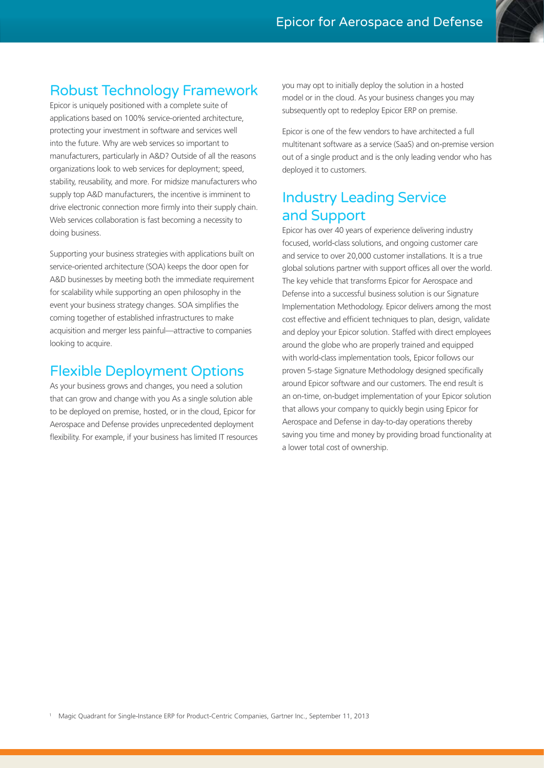#### Robust Technology Framework

Epicor is uniquely positioned with a complete suite of applications based on 100% service-oriented architecture, protecting your investment in software and services well into the future. Why are web services so important to manufacturers, particularly in A&D? Outside of all the reasons organizations look to web services for deployment; speed, stability, reusability, and more. For midsize manufacturers who supply top A&D manufacturers, the incentive is imminent to drive electronic connection more firmly into their supply chain. Web services collaboration is fast becoming a necessity to doing business.

Supporting your business strategies with applications built on service-oriented architecture (SOA) keeps the door open for A&D businesses by meeting both the immediate requirement for scalability while supporting an open philosophy in the event your business strategy changes. SOA simplifies the coming together of established infrastructures to make acquisition and merger less painful—attractive to companies looking to acquire.

#### Flexible Deployment Options

As your business grows and changes, you need a solution that can grow and change with you As a single solution able to be deployed on premise, hosted, or in the cloud, Epicor for Aerospace and Defense provides unprecedented deployment flexibility. For example, if your business has limited IT resources you may opt to initially deploy the solution in a hosted model or in the cloud. As your business changes you may subsequently opt to redeploy Epicor ERP on premise.

Epicor is one of the few vendors to have architected a full multitenant software as a service (SaaS) and on-premise version out of a single product and is the only leading vendor who has deployed it to customers.

#### Industry Leading Service and Support

Epicor has over 40 years of experience delivering industry focused, world-class solutions, and ongoing customer care and service to over 20,000 customer installations. It is a true global solutions partner with support offices all over the world. The key vehicle that transforms Epicor for Aerospace and Defense into a successful business solution is our Signature Implementation Methodology. Epicor delivers among the most cost effective and efficient techniques to plan, design, validate and deploy your Epicor solution. Staffed with direct employees around the globe who are properly trained and equipped with world-class implementation tools, Epicor follows our proven 5-stage Signature Methodology designed specifically around Epicor software and our customers. The end result is an on-time, on-budget implementation of your Epicor solution that allows your company to quickly begin using Epicor for Aerospace and Defense in day-to-day operations thereby saving you time and money by providing broad functionality at a lower total cost of ownership.